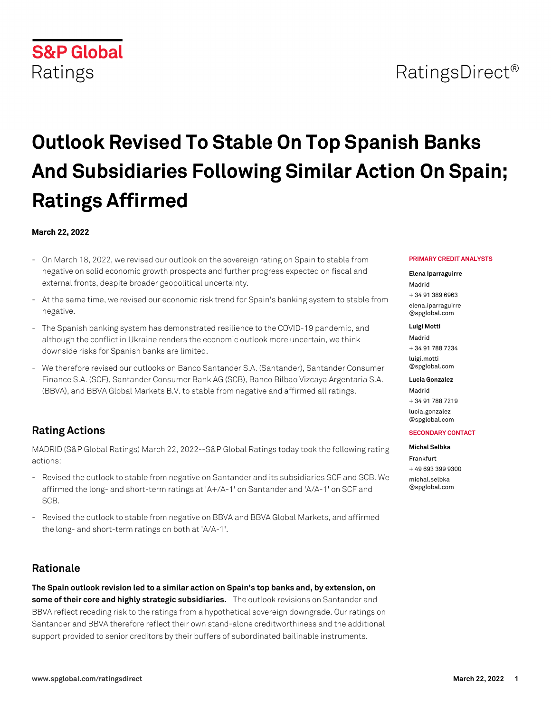## RatingsDirect<sup>®</sup>

# **Outlook Revised To Stable On Top Spanish Banks And Subsidiaries Following Similar Action On Spain; Ratings Affirmed**

#### **March 22, 2022**

**S&P Global** 

Ratings

- On March 18, 2022, we revised our outlook on the sovereign rating on Spain to stable from negative on solid economic growth prospects and further progress expected on fiscal and external fronts, despite broader geopolitical uncertainty.
- At the same time, we revised our economic risk trend for Spain's banking system to stable from negative.
- The Spanish banking system has demonstrated resilience to the COVID-19 pandemic, and although the conflict in Ukraine renders the economic outlook more uncertain, we think downside risks for Spanish banks are limited.
- We therefore revised our outlooks on Banco Santander S.A. (Santander), Santander Consumer Finance S.A. (SCF), Santander Consumer Bank AG (SCB), Banco Bilbao Vizcaya Argentaria S.A. (BBVA), and BBVA Global Markets B.V. to stable from negative and affirmed all ratings.

## **Rating Actions**

MADRID (S&P Global Ratings) March 22, 2022--S&P Global Ratings today took the following rating actions:

- Revised the outlook to stable from negative on Santander and its subsidiaries SCF and SCB. We affirmed the long- and short-term ratings at 'A+/A-1' on Santander and 'A/A-1' on SCF and SCB.
- Revised the outlook to stable from negative on BBVA and BBVA Global Markets, and affirmed the long- and short-term ratings on both at 'A/A-1'.

## **Rationale**

**The Spain outlook revision led to a similar action on Spain's top banks and, by extension, on some of their core and highly strategic subsidiaries.** The outlook revisions on Santander and BBVA reflect receding risk to the ratings from a hypothetical sovereign downgrade. Our ratings on Santander and BBVA therefore reflect their own stand-alone creditworthiness and the additional support provided to senior creditors by their buffers of subordinated bailinable instruments.

#### **PRIMARY CREDIT ANALYSTS**

#### **Elena Iparraguirre**

Madrid + 34 91 389 6963 [elena.iparraguirre](mailto: elena.iparraguirre@spglobal.com) [@spglobal.com](mailto: elena.iparraguirre@spglobal.com)

#### **Luigi Motti**

Madrid + 34 91 788 7234 [luigi.motti](mailto: luigi.motti@spglobal.com) [@spglobal.com](mailto: luigi.motti@spglobal.com)

#### **Lucia Gonzalez**

Madrid + 34 91 788 7219 [lucia.gonzalez](mailto: lucia.gonzalez@spglobal.com) [@spglobal.com](mailto: lucia.gonzalez@spglobal.com)

#### **SECONDARY CONTACT**

#### **Michal Selbka** Frankfurt

+ 49 693 399 9300 [michal.selbka](mailto: michal.selbka@spglobal.com) [@spglobal.com](mailto: michal.selbka@spglobal.com)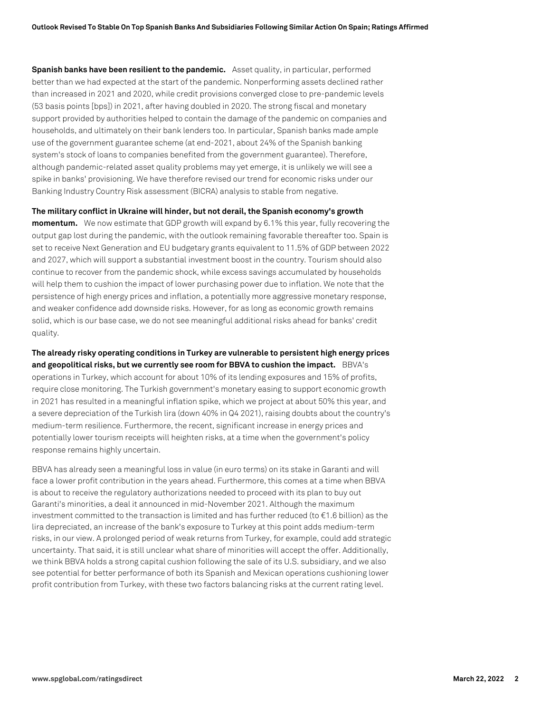**Spanish banks have been resilient to the pandemic.** Asset quality, in particular, performed better than we had expected at the start of the pandemic. Nonperforming assets declined rather than increased in 2021 and 2020, while credit provisions converged close to pre-pandemic levels (53 basis points [bps]) in 2021, after having doubled in 2020. The strong fiscal and monetary support provided by authorities helped to contain the damage of the pandemic on companies and households, and ultimately on their bank lenders too. In particular, Spanish banks made ample use of the government guarantee scheme (at end-2021, about 24% of the Spanish banking system's stock of loans to companies benefited from the government guarantee). Therefore, although pandemic-related asset quality problems may yet emerge, it is unlikely we will see a spike in banks' provisioning. We have therefore revised our trend for economic risks under our Banking Industry Country Risk assessment (BICRA) analysis to stable from negative.

**The military conflict in Ukraine will hinder, but not derail, the Spanish economy's growth momentum.** We now estimate that GDP growth will expand by 6.1% this year, fully recovering the output gap lost during the pandemic, with the outlook remaining favorable thereafter too. Spain is set to receive Next Generation and EU budgetary grants equivalent to 11.5% of GDP between 2022 and 2027, which will support a substantial investment boost in the country. Tourism should also continue to recover from the pandemic shock, while excess savings accumulated by households will help them to cushion the impact of lower purchasing power due to inflation. We note that the persistence of high energy prices and inflation, a potentially more aggressive monetary response, and weaker confidence add downside risks. However, for as long as economic growth remains solid, which is our base case, we do not see meaningful additional risks ahead for banks' credit quality.

**The already risky operating conditions in Turkey are vulnerable to persistent high energy prices and geopolitical risks, but we currently see room for BBVA to cushion the impact.** BBVA's operations in Turkey, which account for about 10% of its lending exposures and 15% of profits, require close monitoring. The Turkish government's monetary easing to support economic growth in 2021 has resulted in a meaningful inflation spike, which we project at about 50% this year, and a severe depreciation of the Turkish lira (down 40% in Q4 2021), raising doubts about the country's medium-term resilience. Furthermore, the recent, significant increase in energy prices and potentially lower tourism receipts will heighten risks, at a time when the government's policy response remains highly uncertain.

BBVA has already seen a meaningful loss in value (in euro terms) on its stake in Garanti and will face a lower profit contribution in the years ahead. Furthermore, this comes at a time when BBVA is about to receive the regulatory authorizations needed to proceed with its plan to buy out Garanti's minorities, a deal it announced in mid-November 2021. Although the maximum investment committed to the transaction is limited and has further reduced (to €1.6 billion) as the lira depreciated, an increase of the bank's exposure to Turkey at this point adds medium-term risks, in our view. A prolonged period of weak returns from Turkey, for example, could add strategic uncertainty. That said, it is still unclear what share of minorities will accept the offer. Additionally, we think BBVA holds a strong capital cushion following the sale of its U.S. subsidiary, and we also see potential for better performance of both its Spanish and Mexican operations cushioning lower profit contribution from Turkey, with these two factors balancing risks at the current rating level.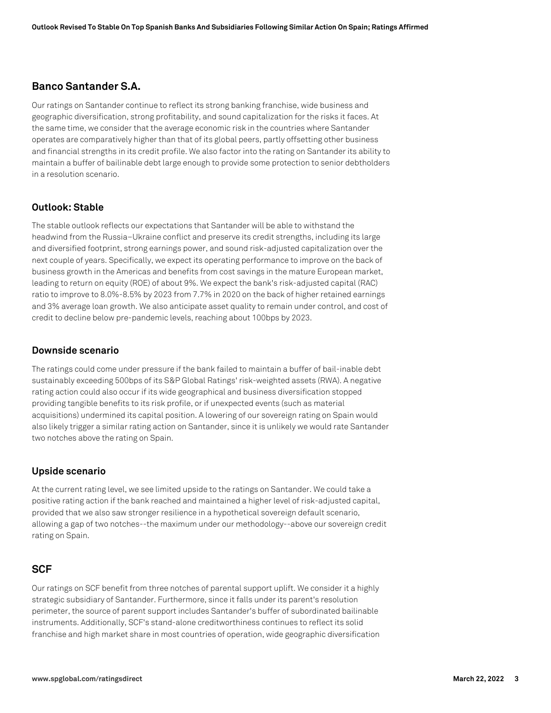## **Banco Santander S.A.**

Our ratings on Santander continue to reflect its strong banking franchise, wide business and geographic diversification, strong profitability, and sound capitalization for the risks it faces. At the same time, we consider that the average economic risk in the countries where Santander operates are comparatively higher than that of its global peers, partly offsetting other business and financial strengths in its credit profile. We also factor into the rating on Santander its ability to maintain a buffer of bailinable debt large enough to provide some protection to senior debtholders in a resolution scenario.

#### **Outlook: Stable**

The stable outlook reflects our expectations that Santander will be able to withstand the headwind from the Russia–Ukraine conflict and preserve its credit strengths, including its large and diversified footprint, strong earnings power, and sound risk-adjusted capitalization over the next couple of years. Specifically, we expect its operating performance to improve on the back of business growth in the Americas and benefits from cost savings in the mature European market, leading to return on equity (ROE) of about 9%. We expect the bank's risk-adjusted capital (RAC) ratio to improve to 8.0%-8.5% by 2023 from 7.7% in 2020 on the back of higher retained earnings and 3% average loan growth. We also anticipate asset quality to remain under control, and cost of credit to decline below pre-pandemic levels, reaching about 100bps by 2023.

#### **Downside scenario**

The ratings could come under pressure if the bank failed to maintain a buffer of bail-inable debt sustainably exceeding 500bps of its S&P Global Ratings' risk-weighted assets (RWA). A negative rating action could also occur if its wide geographical and business diversification stopped providing tangible benefits to its risk profile, or if unexpected events (such as material acquisitions) undermined its capital position. A lowering of our sovereign rating on Spain would also likely trigger a similar rating action on Santander, since it is unlikely we would rate Santander two notches above the rating on Spain.

#### **Upside scenario**

At the current rating level, we see limited upside to the ratings on Santander. We could take a positive rating action if the bank reached and maintained a higher level of risk-adjusted capital, provided that we also saw stronger resilience in a hypothetical sovereign default scenario, allowing a gap of two notches--the maximum under our methodology--above our sovereign credit rating on Spain.

#### **SCF**

Our ratings on SCF benefit from three notches of parental support uplift. We consider it a highly strategic subsidiary of Santander. Furthermore, since it falls under its parent's resolution perimeter, the source of parent support includes Santander's buffer of subordinated bailinable instruments. Additionally, SCF's stand-alone creditworthiness continues to reflect its solid franchise and high market share in most countries of operation, wide geographic diversification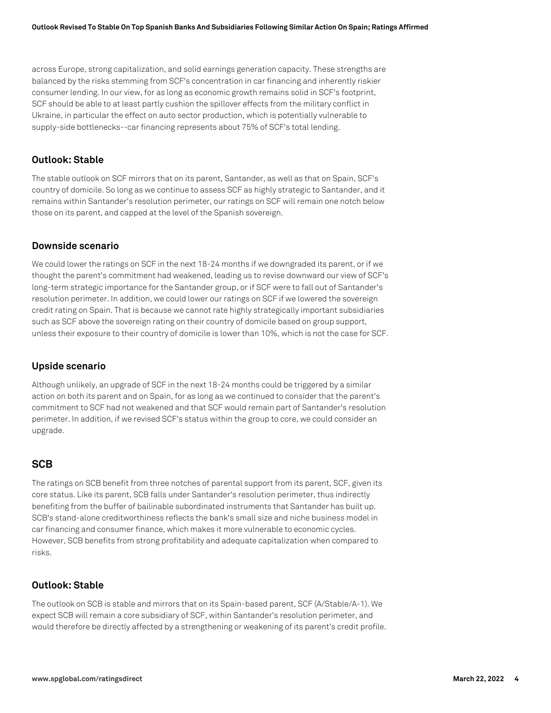across Europe, strong capitalization, and solid earnings generation capacity. These strengths are balanced by the risks stemming from SCF's concentration in car financing and inherently riskier consumer lending. In our view, for as long as economic growth remains solid in SCF's footprint, SCF should be able to at least partly cushion the spillover effects from the military conflict in Ukraine, in particular the effect on auto sector production, which is potentially vulnerable to supply-side bottlenecks--car financing represents about 75% of SCF's total lending.

#### **Outlook: Stable**

The stable outlook on SCF mirrors that on its parent, Santander, as well as that on Spain, SCF's country of domicile. So long as we continue to assess SCF as highly strategic to Santander, and it remains within Santander's resolution perimeter, our ratings on SCF will remain one notch below those on its parent, and capped at the level of the Spanish sovereign.

#### **Downside scenario**

We could lower the ratings on SCF in the next 18-24 months if we downgraded its parent, or if we thought the parent's commitment had weakened, leading us to revise downward our view of SCF's long-term strategic importance for the Santander group, or if SCF were to fall out of Santander's resolution perimeter. In addition, we could lower our ratings on SCF if we lowered the sovereign credit rating on Spain. That is because we cannot rate highly strategically important subsidiaries such as SCF above the sovereign rating on their country of domicile based on group support, unless their exposure to their country of domicile is lower than 10%, which is not the case for SCF.

#### **Upside scenario**

Although unlikely, an upgrade of SCF in the next 18-24 months could be triggered by a similar action on both its parent and on Spain, for as long as we continued to consider that the parent's commitment to SCF had not weakened and that SCF would remain part of Santander's resolution perimeter. In addition, if we revised SCF's status within the group to core, we could consider an upgrade.

#### **SCB**

The ratings on SCB benefit from three notches of parental support from its parent, SCF, given its core status. Like its parent, SCB falls under Santander's resolution perimeter, thus indirectly benefiting from the buffer of bailinable subordinated instruments that Santander has built up. SCB's stand-alone creditworthiness reflects the bank's small size and niche business model in car financing and consumer finance, which makes it more vulnerable to economic cycles. However, SCB benefits from strong profitability and adequate capitalization when compared to risks.

#### **Outlook: Stable**

The outlook on SCB is stable and mirrors that on its Spain-based parent, SCF (A/Stable/A-1). We expect SCB will remain a core subsidiary of SCF, within Santander's resolution perimeter, and would therefore be directly affected by a strengthening or weakening of its parent's credit profile.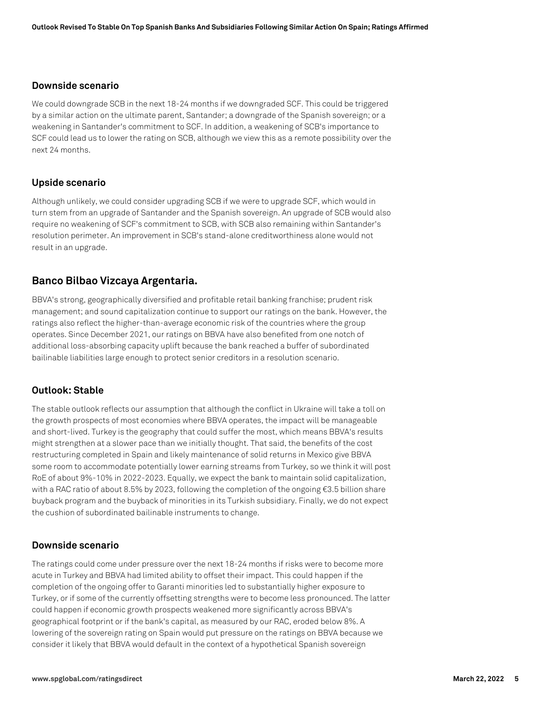#### **Downside scenario**

We could downgrade SCB in the next 18-24 months if we downgraded SCF. This could be triggered by a similar action on the ultimate parent, Santander; a downgrade of the Spanish sovereign; or a weakening in Santander's commitment to SCF. In addition, a weakening of SCB's importance to SCF could lead us to lower the rating on SCB, although we view this as a remote possibility over the next 24 months.

#### **Upside scenario**

Although unlikely, we could consider upgrading SCB if we were to upgrade SCF, which would in turn stem from an upgrade of Santander and the Spanish sovereign. An upgrade of SCB would also require no weakening of SCF's commitment to SCB, with SCB also remaining within Santander's resolution perimeter. An improvement in SCB's stand-alone creditworthiness alone would not result in an upgrade.

## **Banco Bilbao Vizcaya Argentaria.**

BBVA's strong, geographically diversified and profitable retail banking franchise; prudent risk management; and sound capitalization continue to support our ratings on the bank. However, the ratings also reflect the higher-than-average economic risk of the countries where the group operates. Since December 2021, our ratings on BBVA have also benefited from one notch of additional loss-absorbing capacity uplift because the bank reached a buffer of subordinated bailinable liabilities large enough to protect senior creditors in a resolution scenario.

#### **Outlook: Stable**

The stable outlook reflects our assumption that although the conflict in Ukraine will take a toll on the growth prospects of most economies where BBVA operates, the impact will be manageable and short-lived. Turkey is the geography that could suffer the most, which means BBVA's results might strengthen at a slower pace than we initially thought. That said, the benefits of the cost restructuring completed in Spain and likely maintenance of solid returns in Mexico give BBVA some room to accommodate potentially lower earning streams from Turkey, so we think it will post RoE of about 9%-10% in 2022-2023. Equally, we expect the bank to maintain solid capitalization, with a RAC ratio of about 8.5% by 2023, following the completion of the ongoing €3.5 billion share buyback program and the buyback of minorities in its Turkish subsidiary. Finally, we do not expect the cushion of subordinated bailinable instruments to change.

#### **Downside scenario**

The ratings could come under pressure over the next 18-24 months if risks were to become more acute in Turkey and BBVA had limited ability to offset their impact. This could happen if the completion of the ongoing offer to Garanti minorities led to substantially higher exposure to Turkey, or if some of the currently offsetting strengths were to become less pronounced. The latter could happen if economic growth prospects weakened more significantly across BBVA's geographical footprint or if the bank's capital, as measured by our RAC, eroded below 8%. A lowering of the sovereign rating on Spain would put pressure on the ratings on BBVA because we consider it likely that BBVA would default in the context of a hypothetical Spanish sovereign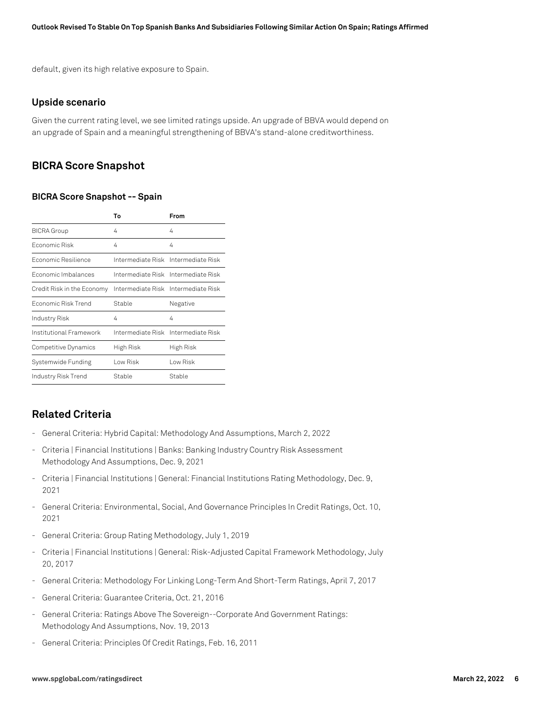default, given its high relative exposure to Spain.

#### **Upside scenario**

Given the current rating level, we see limited ratings upside. An upgrade of BBVA would depend on an upgrade of Spain and a meaningful strengthening of BBVA's stand-alone creditworthiness.

#### **BICRA Score Snapshot**

#### **BICRA Score Snapshot -- Spain**

|                            | Т٥        | From                                  |
|----------------------------|-----------|---------------------------------------|
| <b>BICRA Group</b>         | 4         | 4                                     |
| Fconomic Risk              | 4         | 4                                     |
| Fconomic Resilience        |           | Intermediate Risk - Intermediate Risk |
| Economic Imbalances        |           | Intermediate Risk Intermediate Risk   |
| Credit Risk in the Economy |           | Intermediate Risk Intermediate Risk   |
| Fconomic Risk Trend        | Stable    | Negative                              |
| Industry Risk              | 4         | 4                                     |
| Institutional Framework    |           | Intermediate Risk Intermediate Risk   |
| Competitive Dynamics       | High Risk | High Risk                             |
| Systemwide Funding         | Low Risk  | Low Risk                              |
| Industry Risk Trend        | Stable    | Stable                                |

## **Related Criteria**

- General Criteria: Hybrid Capital: Methodology And Assumptions, March 2, 2022
- Criteria | Financial Institutions | Banks: Banking Industry Country Risk Assessment Methodology And Assumptions, Dec. 9, 2021
- Criteria | Financial Institutions | General: Financial Institutions Rating Methodology, Dec. 9, 2021
- General Criteria: Environmental, Social, And Governance Principles In Credit Ratings, Oct. 10, 2021
- General Criteria: Group Rating Methodology, July 1, 2019
- Criteria | Financial Institutions | General: Risk-Adjusted Capital Framework Methodology, July 20, 2017
- General Criteria: Methodology For Linking Long-Term And Short-Term Ratings, April 7, 2017
- General Criteria: Guarantee Criteria, Oct. 21, 2016
- General Criteria: Ratings Above The Sovereign--Corporate And Government Ratings: Methodology And Assumptions, Nov. 19, 2013
- General Criteria: Principles Of Credit Ratings, Feb. 16, 2011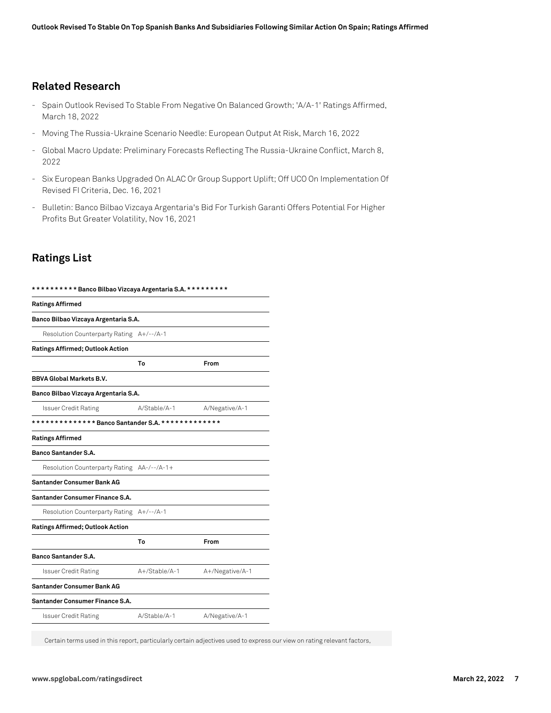## **Related Research**

- Spain Outlook Revised To Stable From Negative On Balanced Growth; 'A/A-1' Ratings Affirmed, March 18, 2022
- Moving The Russia-Ukraine Scenario Needle: European Output At Risk, March 16, 2022
- Global Macro Update: Preliminary Forecasts Reflecting The Russia-Ukraine Conflict, March 8, 2022
- Six European Banks Upgraded On ALAC Or Group Support Uplift; Off UCO On Implementation Of Revised FI Criteria, Dec. 16, 2021
- Bulletin: Banco Bilbao Vizcaya Argentaria's Bid For Turkish Garanti Offers Potential For Higher Profits But Greater Volatility, Nov 16, 2021

## **Ratings List**

| ********** Banco Bilbao Vizcaya Argentaria S.A. ********* |               |                 |  |
|-----------------------------------------------------------|---------------|-----------------|--|
| <b>Ratings Affirmed</b>                                   |               |                 |  |
| Banco Bilbao Vizcaya Argentaria S.A.                      |               |                 |  |
| Resolution Counterparty Rating A+/--/A-1                  |               |                 |  |
| <b>Ratings Affirmed; Outlook Action</b>                   |               |                 |  |
|                                                           | Т٥            | From            |  |
| <b>BBVA Global Markets B.V.</b>                           |               |                 |  |
| Banco Bilbao Vizcaya Argentaria S.A.                      |               |                 |  |
| <b>Issuer Credit Rating</b>                               | A/Stable/A-1  | A/Negative/A-1  |  |
| ************** Banco Santander S.A. *************         |               |                 |  |
| <b>Ratings Affirmed</b>                                   |               |                 |  |
| <b>Banco Santander S.A.</b>                               |               |                 |  |
| Resolution Counterparty Rating AA-/--/A-1+                |               |                 |  |
| Santander Consumer Bank AG                                |               |                 |  |
| Santander Consumer Finance S.A.                           |               |                 |  |
| Resolution Counterparty Rating A+/--/A-1                  |               |                 |  |
| <b>Ratings Affirmed; Outlook Action</b>                   |               |                 |  |
|                                                           | Т٥            | From            |  |
| <b>Banco Santander S.A.</b>                               |               |                 |  |
| Issuer Credit Rating                                      | A+/Stable/A-1 | A+/Negative/A-1 |  |
| Santander Consumer Bank AG                                |               |                 |  |
| Santander Consumer Finance S.A.                           |               |                 |  |
| <b>Issuer Credit Rating</b>                               | A/Stable/A-1  | A/Negative/A-1  |  |
|                                                           |               |                 |  |

Certain terms used in this report, particularly certain adjectives used to express our view on rating relevant factors,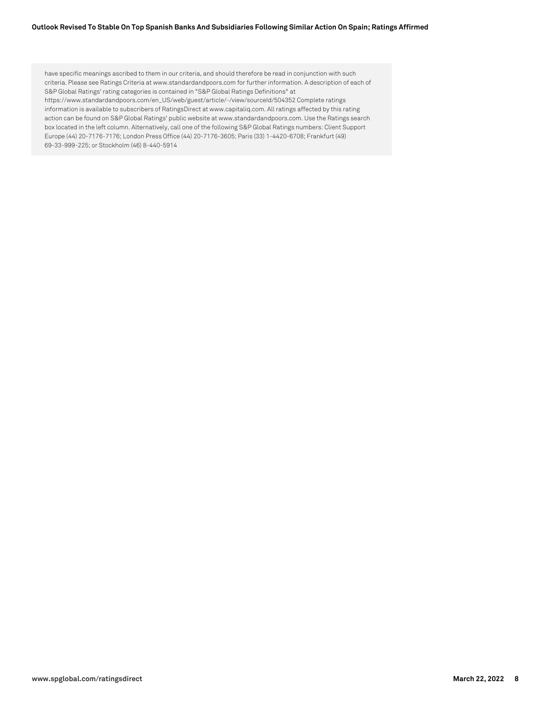#### **Outlook Revised To Stable On Top Spanish Banks And Subsidiaries Following Similar Action On Spain; Ratings Affirmed**

have specific meanings ascribed to them in our criteria, and should therefore be read in conjunction with such criteria. Please see Ratings Criteria at www.standardandpoors.com for further information. A description of each of S&P Global Ratings' rating categories is contained in "S&P Global Ratings Definitions" at https://www.standardandpoors.com/en\_US/web/guest/article/-/view/sourceId/504352 Complete ratings information is available to subscribers of RatingsDirect at www.capitaliq.com. All ratings affected by this rating action can be found on S&P Global Ratings' public website at www.standardandpoors.com. Use the Ratings search box located in the left column. Alternatively, call one of the following S&P Global Ratings numbers: Client Support Europe (44) 20-7176-7176; London Press Office (44) 20-7176-3605; Paris (33) 1-4420-6708; Frankfurt (49) 69-33-999-225; or Stockholm (46) 8-440-5914